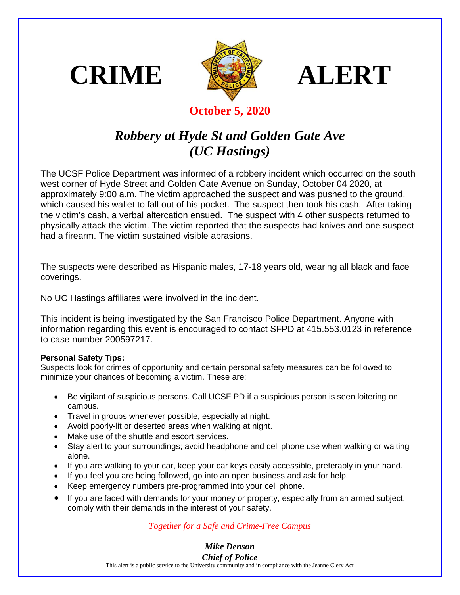





## **October 5, 2020**

## *Robbery at Hyde St and Golden Gate Ave (UC Hastings)*

The UCSF Police Department was informed of a robbery incident which occurred on the south west corner of Hyde Street and Golden Gate Avenue on Sunday, October 04 2020, at approximately 9:00 a.m. The victim approached the suspect and was pushed to the ground, which caused his wallet to fall out of his pocket. The suspect then took his cash. After taking the victim's cash, a verbal altercation ensued. The suspect with 4 other suspects returned to physically attack the victim. The victim reported that the suspects had knives and one suspect had a firearm. The victim sustained visible abrasions.

The suspects were described as Hispanic males, 17-18 years old, wearing all black and face coverings.

No UC Hastings affiliates were involved in the incident.

This incident is being investigated by the San Francisco Police Department. Anyone with information regarding this event is encouraged to contact SFPD at 415.553.0123 in reference to case number 200597217.

## **Personal Safety Tips:**

Suspects look for crimes of opportunity and certain personal safety measures can be followed to minimize your chances of becoming a victim. These are:

- Be vigilant of suspicious persons. Call UCSF PD if a suspicious person is seen loitering on campus.
- Travel in groups whenever possible, especially at night.
- Avoid poorly-lit or deserted areas when walking at night.
- Make use of the shuttle and escort services.
- Stay alert to your surroundings; avoid headphone and cell phone use when walking or waiting alone.
- If you are walking to your car, keep your car keys easily accessible, preferably in your hand.
- If you feel you are being followed, go into an open business and ask for help.
- Keep emergency numbers pre-programmed into your cell phone.
- If you are faced with demands for your money or property, especially from an armed subject, comply with their demands in the interest of your safety.

## *Together for a Safe and Crime-Free Campus*

*Mike Denson Chief of Police*

This alert is a public service to the University community and in compliance with the Jeanne Clery Act